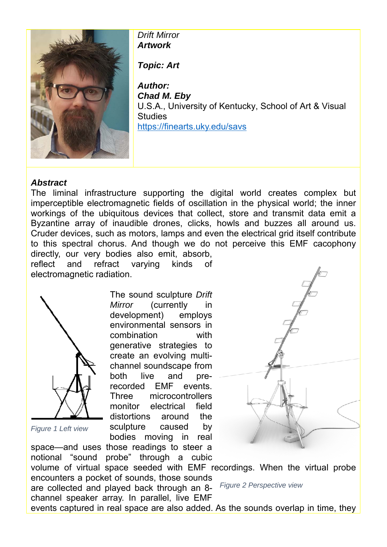

*Drift Mirror Artwork* 

*Topic: Art* 

*Author: Chad M. Eby*  U.S.A., University of Kentucky, School of Art & Visual **Studies** https://finearts.uky.edu/savs

## *Abstract*

The liminal infrastructure supporting the digital world creates complex but imperceptible electromagnetic fields of oscillation in the physical world; the inner workings of the ubiquitous devices that collect, store and transmit data emit a Byzantine array of inaudible drones, clicks, howls and buzzes all around us. Cruder devices, such as motors, lamps and even the electrical grid itself contribute to this spectral chorus. And though we do not perceive this EMF cacophony directly, our very bodies also emit, absorb,

reflect and refract varying kinds of electromagnetic radiation.

space—and uses those readings to steer a



*Figure 1 Left view*

The sound sculpture *Drift Mirror* (currently in development) employs environmental sensors in combination with generative strategies to create an evolving multichannel soundscape from both live and prerecorded EMF events. Three microcontrollers monitor electrical field distortions around the sculpture caused by bodies moving in real



notional "sound probe" through a cubic volume of virtual space seeded with EMF recordings. When the virtual probe encounters a pocket of sounds, those sounds are collected and played back through an 8 channel speaker array. In parallel, live EMF events captured in real space are also added. As the sounds overlap in time, they *Figure 2 Perspective view*